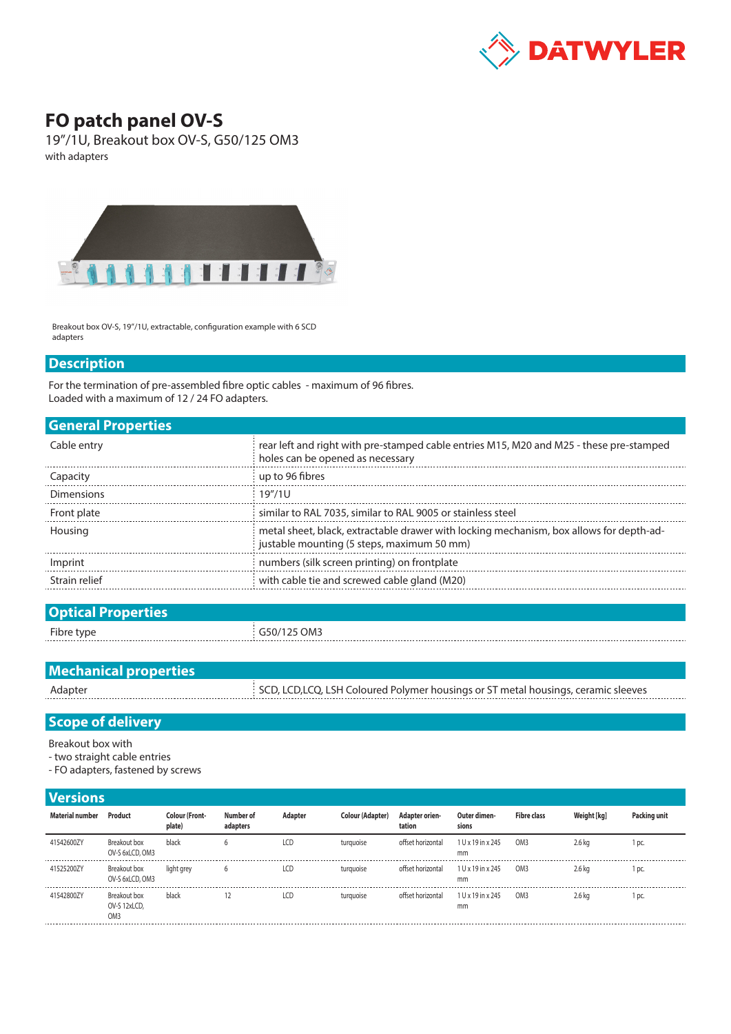

## **FO patch panel OV-S**

19"/1U, Breakout box OV-S, G50/125 OM3 with adapters



Breakout box OV-S, 19"/1U, extractable, configuration example with 6 SCD adapters

## **Description**

For the termination of pre-assembled fibre optic cables - maximum of 96 fibres. Loaded with a maximum of 12 / 24 FO adapters.

| <b>General Properties</b> |                                                                                                                                       |
|---------------------------|---------------------------------------------------------------------------------------------------------------------------------------|
| Cable entry               | rear left and right with pre-stamped cable entries M15, M20 and M25 - these pre-stamped<br>holes can be opened as necessary           |
| Capacity                  | up to 96 fibres                                                                                                                       |
| <b>Dimensions</b>         | 19''/11                                                                                                                               |
| Front plate               | similar to RAL 7035, similar to RAL 9005 or stainless steel                                                                           |
| Housing                   | metal sheet, black, extractable drawer with locking mechanism, box allows for depth-ad-<br>justable mounting (5 steps, maximum 50 mm) |
| Imprint                   | numbers (silk screen printing) on frontplate                                                                                          |
| Strain relief             | with cable tie and screwed cable gland (M20)                                                                                          |
|                           |                                                                                                                                       |

| <b>Optical Properties</b> |             |
|---------------------------|-------------|
| Fibre type                | G50/125 OM3 |
|                           |             |

| <b>Mechanical properties</b> |                                                                                    |
|------------------------------|------------------------------------------------------------------------------------|
| Adapter                      | SCD, LCD, LCQ, LSH Coloured Polymer housings or ST metal housings, ceramic sleeves |

## **Scope of delivery**

Breakout box with

- two straight cable entries
- FO adapters, fastened by screws

## **Versions**

| Material number | Product                                         | <b>Colour (Front-</b><br>plate) | Number of<br>adapters | Adapter | <b>Colour (Adapter)</b> | <b>Adapter orien-</b><br>tation | Outer dimen-<br>sions   | <b>Fibre class</b> | Weight [kg] | Packing unit |
|-----------------|-------------------------------------------------|---------------------------------|-----------------------|---------|-------------------------|---------------------------------|-------------------------|--------------------|-------------|--------------|
| 41542600ZY      | Breakout box<br>OV-S 6xLCD, OM3                 | black                           | b                     | LCD     | turguoise               | offset horizontal               | 1 U x 19 in x 245<br>mm | OM <sub>3</sub>    | $2.6$ kg    | l pc.        |
| 41525200ZY      | Breakout box<br>OV-S 6xLCD, OM3                 | light grey                      | b                     | LCD     | turguoise               | offset horizontal               | 1 U x 19 in x 245<br>mm | OM <sub>3</sub>    | 2.6 kg      | l pc.        |
| 41542800ZY      | Breakout box<br>OV-S 12xLCD,<br>OM <sub>3</sub> | black                           |                       | LCD     | turguoise               | offset horizontal               | 1 U x 19 in x 245<br>mm | OM <sub>3</sub>    | 2.6 kg      | l pc.        |